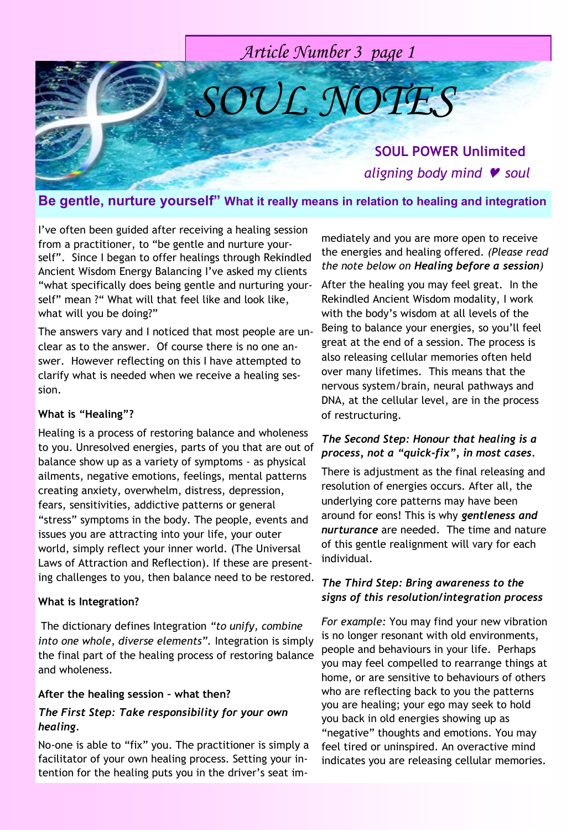# *Article Number 3 page 1*

*SOUL NOTES*

## **SOUL POWER Unlimited** *aligning body mind soul*

## **Be gentle, nurture yourself" What it really means in relation to healing and integration**

I"ve often been guided after receiving a healing session from a practitioner, to "be gentle and nurture yourself". Since I began to offer healings through Rekindled Ancient Wisdom Energy Balancing I"ve asked my clients "what specifically does being gentle and nurturing yourself" mean ?" What will that feel like and look like, what will you be doing?"

The answers vary and I noticed that most people are unclear as to the answer. Of course there is no one answer. However reflecting on this I have attempted to clarify what is needed when we receive a healing session.

#### **What is "Healing"?**

Healing is a process of restoring balance and wholeness to you. Unresolved energies, parts of you that are out of balance show up as a variety of symptoms - as physical ailments, negative emotions, feelings, mental patterns creating anxiety, overwhelm, distress, depression, fears, sensitivities, addictive patterns or general "stress" symptoms in the body. The people, events and issues you are attracting into your life, your outer world, simply reflect your inner world. (The Universal Laws of Attraction and Reflection). If these are presenting challenges to you, then balance need to be restored.

#### **What is Integration?**

The dictionary defines Integration *"to unify, combine into one whole, diverse elements".* Integration is simply the final part of the healing process of restoring balance and wholeness.

#### **After the healing session – what then?**

### *The First Step: Take responsibility for your own healing.*

No-one is able to "fix" you. The practitioner is simply a facilitator of your own healing process. Setting your intention for the healing puts you in the driver's seat immediately and you are more open to receive the energies and healing offered. *(Please read the note below on Healing before a session)*

After the healing you may feel great. In the Rekindled Ancient Wisdom modality, I work with the body"s wisdom at all levels of the Being to balance your energies, so you"ll feel great at the end of a session. The process is also releasing cellular memories often held over many lifetimes. This means that the nervous system/brain, neural pathways and DNA, at the cellular level, are in the process of restructuring.

#### *The Second Step: Honour that healing is a process, not a "quick-fix", in most cases.*

There is adjustment as the final releasing and resolution of energies occurs. After all, the underlying core patterns may have been around for eons! This is why *gentleness and nurturance* are needed. The time and nature of this gentle realignment will vary for each individual.

### *The Third Step: Bring awareness to the signs of this resolution/integration process*

*For example:* You may find your new vibration is no longer resonant with old environments, people and behaviours in your life. Perhaps you may feel compelled to rearrange things at home, or are sensitive to behaviours of others who are reflecting back to you the patterns you are healing; your ego may seek to hold you back in old energies showing up as "negative" thoughts and emotions. You may feel tired or uninspired. An overactive mind indicates you are releasing cellular memories.